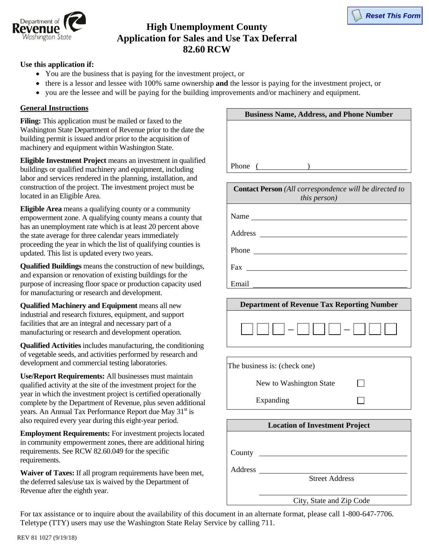



## **High Unemployment County Application for Sales and Use Tax Deferral 82.60 RCW**

## **Use this application if:**

- You are the business that is paying for the investment project, or
- there is a lessor and lessee with 100% same ownership **and** the lessor is paying for the investment project, or
- you are the lessee and will be paying for the building improvements and/or machinery and equipment.

## **General Instructions**

**Filing:** This application must be mailed or faxed to the Washington State Department of Revenue prior to the date the building permit is issued and/or prior to the acquisition of machinery and equipment within Washington State.

**Eligible Investment Project** means an investment in qualified buildings or qualified machinery and equipment, including labor and services rendered in the planning, installation, and construction of the project. The investment project must be located in an Eligible Area.

**Eligible Area** means a qualifying county or a community empowerment zone. A qualifying county means a county that has an unemployment rate which is at least 20 percent above the state average for three calendar years immediately proceeding the year in which the list of qualifying counties is updated. This list is updated every two years.

**Qualified Buildings** means the construction of new buildings, and expansion or renovation of existing buildings for the purpose of increasing floor space or production capacity used for manufacturing or research and development.

**Qualified Machinery and Equipment** means all new industrial and research fixtures, equipment, and support facilities that are an integral and necessary part of a manufacturing or research and development operation.

**Qualified Activities** includes manufacturing, the conditioning of vegetable seeds, and activities performed by research and development and commercial testing laboratories.

**Use/Report Requirements:** All businesses must maintain qualified activity at the site of the investment project for the year in which the investment project is certified operationally complete by the Department of Revenue, plus seven additional years. An Annual Tax Performance Report due May 31<sup>st</sup> is also required every year during this eight-year period.

**Employment Requirements:** For investment projects located in community empowerment zones, there are additional hiring requirements. See RCW 82.60.049 for the specific requirements.

**Waiver of Taxes:** If all program requirements have been met, the deferred sales/use tax is waived by the Department of Revenue after the eighth year.

| <b>Business Name, Address, and Phone Number</b> |  |  |  |  |
|-------------------------------------------------|--|--|--|--|
|                                                 |  |  |  |  |
|                                                 |  |  |  |  |
|                                                 |  |  |  |  |
| Phone                                           |  |  |  |  |

| <b>Contact Person</b> (All correspondence will be directed to<br>this person) |  |  |  |
|-------------------------------------------------------------------------------|--|--|--|
| Name                                                                          |  |  |  |
|                                                                               |  |  |  |
| Phone                                                                         |  |  |  |
| $\frac{Fax}{\frac{1}{2} + Fax}$                                               |  |  |  |
| Email<br>$\overline{\phantom{a}}$                                             |  |  |  |



| The business is: (check one) |  |  |
|------------------------------|--|--|
| New to Washington State      |  |  |
| Expanding                    |  |  |

| <b>Location of Investment Project</b> |                       |
|---------------------------------------|-----------------------|
|                                       |                       |
| County                                |                       |
| Address                               |                       |
|                                       | <b>Street Address</b> |
|                                       |                       |

City, State and Zip Code

For tax assistance or to inquire about the availability of this document in an alternate format, please call 1-800-647-7706. Teletype (TTY) users may use the Washington State Relay Service by calling 711.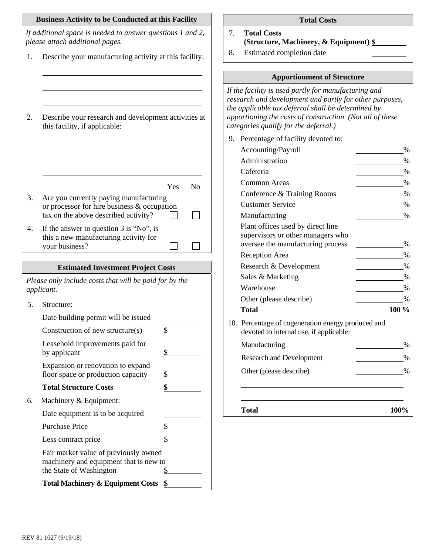|                                                                      | <b>Business Activity to be Conducted at this Facility</b>                                                  | <b>Total Costs</b>                                                                                                                                                                                                                                                          |  |
|----------------------------------------------------------------------|------------------------------------------------------------------------------------------------------------|-----------------------------------------------------------------------------------------------------------------------------------------------------------------------------------------------------------------------------------------------------------------------------|--|
|                                                                      | If additional space is needed to answer questions 1 and 2,<br>please attach additional pages.              | 7.<br><b>Total Costs</b><br>(Structure, Machinery, & Equipment) §                                                                                                                                                                                                           |  |
| 1.                                                                   | Describe your manufacturing activity at this facility:                                                     | Estimated completion date<br>8.                                                                                                                                                                                                                                             |  |
|                                                                      |                                                                                                            | <b>Apportionment of Structure</b>                                                                                                                                                                                                                                           |  |
| 2.                                                                   | Describe your research and development activities at<br>this facility, if applicable:                      | If the facility is used partly for manufacturing and<br>research and development and partly for other purposes,<br>the applicable tax deferral shall be determined by<br>apportioning the costs of construction. (Not all of these<br>categories qualify for the deferral.) |  |
|                                                                      |                                                                                                            | 9. Percentage of facility devoted to:                                                                                                                                                                                                                                       |  |
|                                                                      |                                                                                                            | Accounting/Payroll<br>$\%$                                                                                                                                                                                                                                                  |  |
|                                                                      |                                                                                                            | Administration<br>%                                                                                                                                                                                                                                                         |  |
|                                                                      |                                                                                                            | Cafeteria<br>$\%$                                                                                                                                                                                                                                                           |  |
|                                                                      | Yes<br>N <sub>o</sub>                                                                                      | <b>Common Areas</b><br>$\%$                                                                                                                                                                                                                                                 |  |
| 3.                                                                   | Are you currently paying manufacturing                                                                     | Conference & Training Rooms<br>$\%$                                                                                                                                                                                                                                         |  |
|                                                                      | or processor for hire business & occupation                                                                | <b>Customer Service</b><br>$\%$                                                                                                                                                                                                                                             |  |
|                                                                      | tax on the above described activity?                                                                       | Manufacturing<br>$\%$                                                                                                                                                                                                                                                       |  |
| 4.                                                                   | If the answer to question 3 is "No", is                                                                    | Plant offices used by direct line                                                                                                                                                                                                                                           |  |
|                                                                      | this a new manufacturing activity for                                                                      | supervisors or other managers who<br>oversee the manufacturing process<br>$\%$                                                                                                                                                                                              |  |
|                                                                      | your business?                                                                                             | Reception Area<br>%                                                                                                                                                                                                                                                         |  |
|                                                                      | <b>Estimated Investment Project Costs</b>                                                                  | Research & Development<br>$\%$                                                                                                                                                                                                                                              |  |
|                                                                      |                                                                                                            | Sales & Marketing<br>$\%$                                                                                                                                                                                                                                                   |  |
| Please only include costs that will be paid for by the<br>applicant. |                                                                                                            | Warehouse<br>$\%$                                                                                                                                                                                                                                                           |  |
|                                                                      |                                                                                                            | Other (please describe)<br>$\%$                                                                                                                                                                                                                                             |  |
| 5.                                                                   | Structure:                                                                                                 | 100 %<br><b>Total</b>                                                                                                                                                                                                                                                       |  |
|                                                                      | Date building permit will be issued<br>Construction of new structure(s)<br>\$                              | 10. Percentage of cogeneration energy produced and<br>devoted to internal use, if applicable:                                                                                                                                                                               |  |
|                                                                      | Leasehold improvements paid for                                                                            | Manufacturing<br>$\%$                                                                                                                                                                                                                                                       |  |
|                                                                      | $\frac{1}{2}$<br>by applicant                                                                              | <b>Research and Development</b><br>%                                                                                                                                                                                                                                        |  |
|                                                                      | Expansion or renovation to expand<br>floor space or production capacity<br>\$                              | Other (please describe)<br>$\%$                                                                                                                                                                                                                                             |  |
|                                                                      | <b>Total Structure Costs</b><br>\$                                                                         |                                                                                                                                                                                                                                                                             |  |
| 6.                                                                   | Machinery & Equipment:                                                                                     |                                                                                                                                                                                                                                                                             |  |
|                                                                      | Date equipment is to be acquired                                                                           | 100%<br><b>Total</b>                                                                                                                                                                                                                                                        |  |
|                                                                      | <b>Purchase Price</b><br>\$                                                                                |                                                                                                                                                                                                                                                                             |  |
|                                                                      | \$<br>Less contract price                                                                                  |                                                                                                                                                                                                                                                                             |  |
|                                                                      | Fair market value of previously owned<br>machinery and equipment that is new to<br>the State of Washington |                                                                                                                                                                                                                                                                             |  |
|                                                                      | Total Machinery & Equipment Costs \$                                                                       |                                                                                                                                                                                                                                                                             |  |